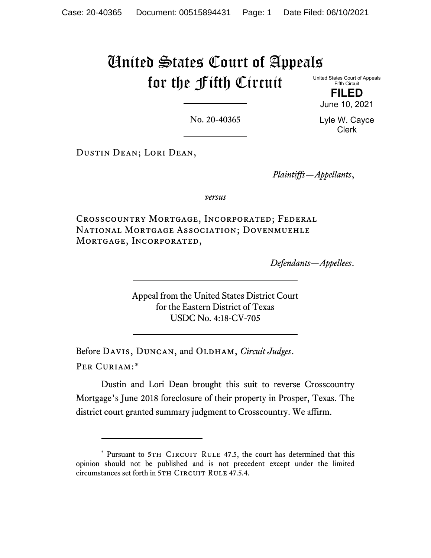# United States Court of Appeals for the Fifth Circuit

United States Court of Appeals Fifth Circuit

**FILED** June 10, 2021

No. 20-40365

Lyle W. Cayce Clerk

Dustin Dean; Lori Dean,

*Plaintiffs—Appellants*,

*versus*

Crosscountry Mortgage, Incorporated; Federal National Mortgage Association; Dovenmuehle Mortgage, Incorporated,

*Defendants—Appellees*.

Appeal from the United States District Court for the Eastern District of Texas USDC No. 4:18-CV-705

Before DAVIS, DUNCAN, and OLDHAM, *Circuit Judges*. Per Curiam:[\\*](#page-0-0)

Dustin and Lori Dean brought this suit to reverse Crosscountry Mortgage's June 2018 foreclosure of their property in Prosper, Texas. The district court granted summary judgment to Crosscountry. We affirm.

<span id="page-0-0"></span><sup>\*</sup> Pursuant to 5TH CIRCUIT RULE 47.5, the court has determined that this opinion should not be published and is not precedent except under the limited circumstances set forth in 5TH CIRCUIT RULE 47.5.4.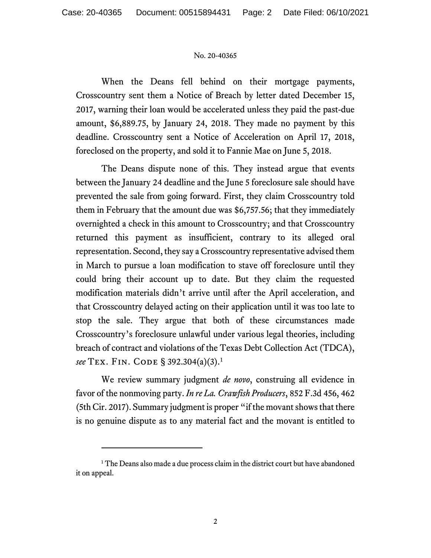### No. 20-40365

When the Deans fell behind on their mortgage payments, Crosscountry sent them a Notice of Breach by letter dated December 15, 2017, warning their loan would be accelerated unless they paid the past-due amount, \$6,889.75, by January 24, 2018. They made no payment by this deadline. Crosscountry sent a Notice of Acceleration on April 17, 2018, foreclosed on the property, and sold it to Fannie Mae on June 5, 2018.

The Deans dispute none of this. They instead argue that events between the January 24 deadline and the June 5 foreclosure sale should have prevented the sale from going forward. First, they claim Crosscountry told them in February that the amount due was \$6,757.56; that they immediately overnighted a check in this amount to Crosscountry; and that Crosscountry returned this payment as insufficient, contrary to its alleged oral representation. Second, they say a Crosscountry representative advised them in March to pursue a loan modification to stave off foreclosure until they could bring their account up to date. But they claim the requested modification materials didn't arrive until after the April acceleration, and that Crosscountry delayed acting on their application until it was too late to stop the sale. They argue that both of these circumstances made Crosscountry's foreclosure unlawful under various legal theories, including breach of contract and violations of the Texas Debt Collection Act (TDCA), *see* Tex. Fin. Code § 392.304(a)(3). [1](#page-1-0)

We review summary judgment *de novo*, construing all evidence in favor of the nonmoving party. *In re La. Crawfish Producers*, 852 F.3d 456, 462 (5th Cir. 2017). Summary judgment is proper "if the movant shows that there is no genuine dispute as to any material fact and the movant is entitled to

<span id="page-1-0"></span><sup>&</sup>lt;sup>1</sup> The Deans also made a due process claim in the district court but have abandoned it on appeal.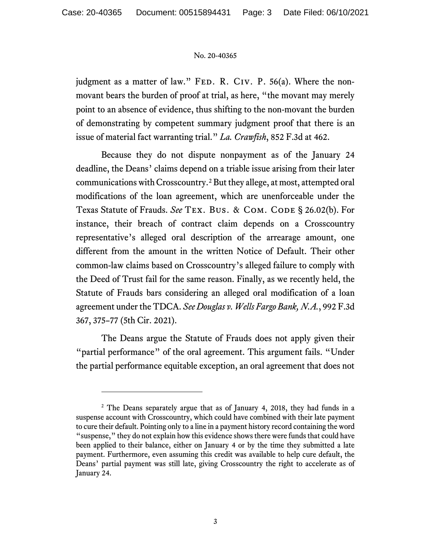### No. 20-40365

judgment as a matter of law." FED. R. CIV. P. 56(a). Where the nonmovant bears the burden of proof at trial, as here, "the movant may merely point to an absence of evidence, thus shifting to the non-movant the burden of demonstrating by competent summary judgment proof that there is an issue of material fact warranting trial." *La. Crawfish*, 852 F.3d at 462.

Because they do not dispute nonpayment as of the January 24 deadline, the Deans' claims depend on a triable issue arising from their later communications with Crosscountry.[2](#page-2-0) But they allege, at most, attempted oral modifications of the loan agreement, which are unenforceable under the Texas Statute of Frauds. See TEX. BUS. & COM. CODE § 26.02(b). For instance, their breach of contract claim depends on a Crosscountry representative's alleged oral description of the arrearage amount, one different from the amount in the written Notice of Default. Their other common-law claims based on Crosscountry's alleged failure to comply with the Deed of Trust fail for the same reason. Finally, as we recently held, the Statute of Frauds bars considering an alleged oral modification of a loan agreement under the TDCA. *See Douglas v. Wells Fargo Bank, N.A.*, 992 F.3d 367, 375–77 (5th Cir. 2021).

The Deans argue the Statute of Frauds does not apply given their "partial performance" of the oral agreement. This argument fails. "Under the partial performance equitable exception, an oral agreement that does not

<span id="page-2-0"></span><sup>&</sup>lt;sup>2</sup> The Deans separately argue that as of January 4, 2018, they had funds in a suspense account with Crosscountry, which could have combined with their late payment to cure their default. Pointing only to a line in a payment history record containing the word "suspense," they do not explain how this evidence showsthere were funds that could have been applied to their balance, either on January 4 or by the time they submitted a late payment. Furthermore, even assuming this credit was available to help cure default, the Deans' partial payment was still late, giving Crosscountry the right to accelerate as of January 24.